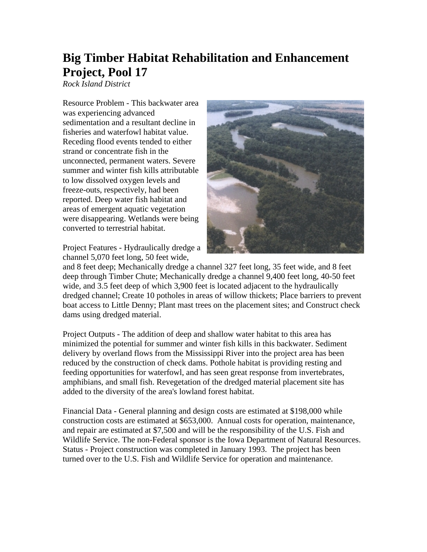## **Big Timber Habitat Rehabilitation and Enhancement Project, Pool 17**

*Rock Island District* 

Resource Problem - This backwater area was experiencing advanced sedimentation and a resultant decline in fisheries and waterfowl habitat value. Receding flood events tended to either strand or concentrate fish in the unconnected, permanent waters. Severe summer and winter fish kills attributable to low dissolved oxygen levels and freeze-outs, respectively, had been reported. Deep water fish habitat and areas of emergent aquatic vegetation were disappearing. Wetlands were being converted to terrestrial habitat.

Project Features - Hydraulically dredge a channel 5,070 feet long, 50 feet wide,



and 8 feet deep; Mechanically dredge a channel 327 feet long, 35 feet wide, and 8 feet deep through Timber Chute; Mechanically dredge a channel 9,400 feet long, 40-50 feet wide, and 3.5 feet deep of which 3,900 feet is located adjacent to the hydraulically dredged channel; Create 10 potholes in areas of willow thickets; Place barriers to prevent boat access to Little Denny; Plant mast trees on the placement sites; and Construct check dams using dredged material.

Project Outputs - The addition of deep and shallow water habitat to this area has minimized the potential for summer and winter fish kills in this backwater. Sediment delivery by overland flows from the Mississippi River into the project area has been reduced by the construction of check dams. Pothole habitat is providing resting and feeding opportunities for waterfowl, and has seen great response from invertebrates, amphibians, and small fish. Revegetation of the dredged material placement site has added to the diversity of the area's lowland forest habitat.

Financial Data - General planning and design costs are estimated at \$198,000 while construction costs are estimated at \$653,000. Annual costs for operation, maintenance, and repair are estimated at \$7,500 and will be the responsibility of the U.S. Fish and Wildlife Service. The non-Federal sponsor is the Iowa Department of Natural Resources. Status - Project construction was completed in January 1993. The project has been turned over to the U.S. Fish and Wildlife Service for operation and maintenance.